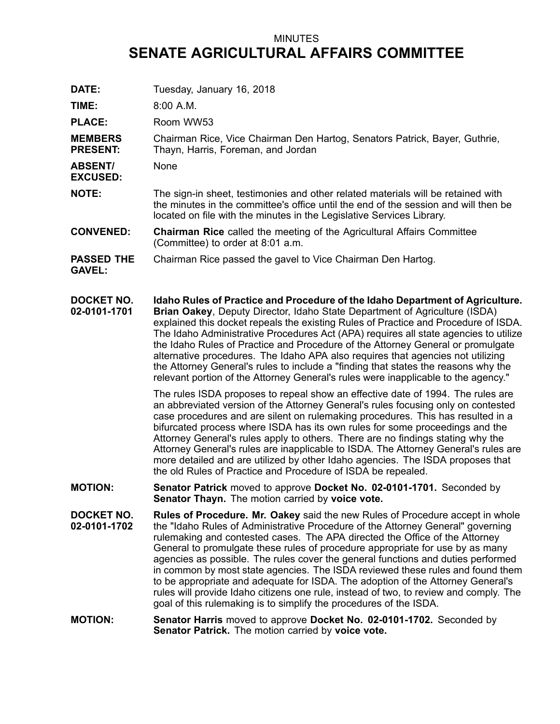## MINUTES **SENATE AGRICULTURAL AFFAIRS COMMITTEE**

| DATE:                              | Tuesday, January 16, 2018                                                                                                                                                                                                                                                                                                                                                                                                                                                                                                                                                                                                                                                                                                                                |
|------------------------------------|----------------------------------------------------------------------------------------------------------------------------------------------------------------------------------------------------------------------------------------------------------------------------------------------------------------------------------------------------------------------------------------------------------------------------------------------------------------------------------------------------------------------------------------------------------------------------------------------------------------------------------------------------------------------------------------------------------------------------------------------------------|
| TIME:                              | $8:00$ A.M.                                                                                                                                                                                                                                                                                                                                                                                                                                                                                                                                                                                                                                                                                                                                              |
| <b>PLACE:</b>                      | Room WW53                                                                                                                                                                                                                                                                                                                                                                                                                                                                                                                                                                                                                                                                                                                                                |
| <b>MEMBERS</b><br><b>PRESENT:</b>  | Chairman Rice, Vice Chairman Den Hartog, Senators Patrick, Bayer, Guthrie,<br>Thayn, Harris, Foreman, and Jordan                                                                                                                                                                                                                                                                                                                                                                                                                                                                                                                                                                                                                                         |
| <b>ABSENT/</b><br><b>EXCUSED:</b>  | None                                                                                                                                                                                                                                                                                                                                                                                                                                                                                                                                                                                                                                                                                                                                                     |
| <b>NOTE:</b>                       | The sign-in sheet, testimonies and other related materials will be retained with<br>the minutes in the committee's office until the end of the session and will then be<br>located on file with the minutes in the Legislative Services Library.                                                                                                                                                                                                                                                                                                                                                                                                                                                                                                         |
| <b>CONVENED:</b>                   | <b>Chairman Rice</b> called the meeting of the Agricultural Affairs Committee<br>(Committee) to order at 8:01 a.m.                                                                                                                                                                                                                                                                                                                                                                                                                                                                                                                                                                                                                                       |
| <b>PASSED THE</b><br><b>GAVEL:</b> | Chairman Rice passed the gavel to Vice Chairman Den Hartog.                                                                                                                                                                                                                                                                                                                                                                                                                                                                                                                                                                                                                                                                                              |
| <b>DOCKET NO.</b><br>02-0101-1701  | Idaho Rules of Practice and Procedure of the Idaho Department of Agriculture.<br>Brian Oakey, Deputy Director, Idaho State Department of Agriculture (ISDA)<br>explained this docket repeals the existing Rules of Practice and Procedure of ISDA.<br>The Idaho Administrative Procedures Act (APA) requires all state agencies to utilize<br>the Idaho Rules of Practice and Procedure of the Attorney General or promulgate<br>alternative procedures. The Idaho APA also requires that agencies not utilizing<br>the Attorney General's rules to include a "finding that states the reasons why the<br>relevant portion of the Attorney General's rules were inapplicable to the agency."                                                             |
|                                    | The rules ISDA proposes to repeal show an effective date of 1994. The rules are<br>an abbreviated version of the Attorney General's rules focusing only on contested<br>case procedures and are silent on rulemaking procedures. This has resulted in a<br>bifurcated process where ISDA has its own rules for some proceedings and the<br>Attorney General's rules apply to others. There are no findings stating why the<br>Attorney General's rules are inapplicable to ISDA. The Attorney General's rules are<br>more detailed and are utilized by other Idaho agencies. The ISDA proposes that<br>the old Rules of Practice and Procedure of ISDA be repealed.                                                                                      |
| <b>MOTION:</b>                     | Senator Patrick moved to approve Docket No. 02-0101-1701. Seconded by<br>Senator Thayn. The motion carried by voice vote.                                                                                                                                                                                                                                                                                                                                                                                                                                                                                                                                                                                                                                |
| DOCKET NO.<br>02-0101-1702         | Rules of Procedure. Mr. Oakey said the new Rules of Procedure accept in whole<br>the "Idaho Rules of Administrative Procedure of the Attorney General" governing<br>rulemaking and contested cases. The APA directed the Office of the Attorney<br>General to promulgate these rules of procedure appropriate for use by as many<br>agencies as possible. The rules cover the general functions and duties performed<br>in common by most state agencies. The ISDA reviewed these rules and found them<br>to be appropriate and adequate for ISDA. The adoption of the Attorney General's<br>rules will provide Idaho citizens one rule, instead of two, to review and comply. The<br>goal of this rulemaking is to simplify the procedures of the ISDA. |
| <b>MOTION:</b>                     | Senator Harris moved to approve Docket No. 02-0101-1702. Seconded by<br>Senator Patrick. The motion carried by voice vote.                                                                                                                                                                                                                                                                                                                                                                                                                                                                                                                                                                                                                               |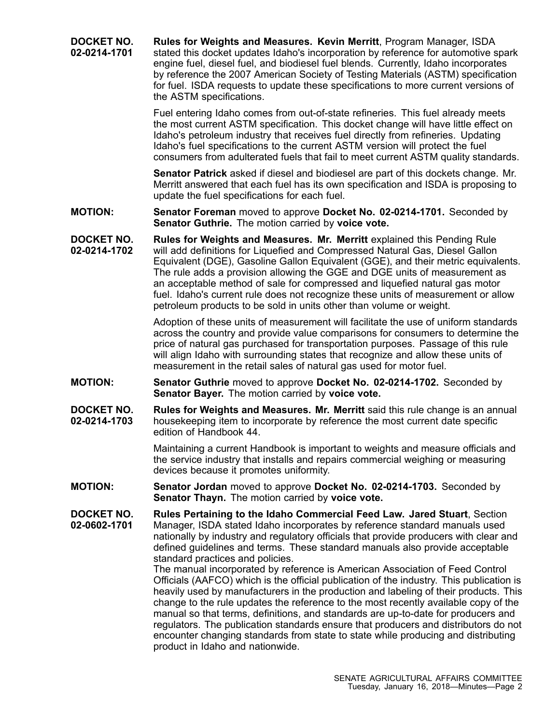**DOCKET NO. 02-0214-1701 Rules for Weights and Measures. Kevin Merritt**, Program Manager, ISDA stated this docket updates Idaho's incorporation by reference for automotive spark engine fuel, diesel fuel, and biodiesel fuel blends. Currently, Idaho incorporates by reference the 2007 American Society of Testing Materials (ASTM) specification for fuel. ISDA requests to update these specifications to more current versions of the ASTM specifications. Fuel entering Idaho comes from out-of-state refineries. This fuel already meets the most current ASTM specification. This docket change will have little effect on Idaho's petroleum industry that receives fuel directly from refineries. Updating Idaho's fuel specifications to the current ASTM version will protect the fuel consumers from adulterated fuels that fail to meet current ASTM quality standards. **Senator Patrick** asked if diesel and biodiesel are part of this dockets change. Mr. Merritt answered that each fuel has its own specification and ISDA is proposing to update the fuel specifications for each fuel. **MOTION: Senator Foreman** moved to approve **Docket No. 02-0214-1701.** Seconded by **Senator Guthrie.** The motion carried by **voice vote. DOCKET NO. 02-0214-1702 Rules for Weights and Measures. Mr. Merritt** explained this Pending Rule will add definitions for Liquefied and Compressed Natural Gas, Diesel Gallon Equivalent (DGE), Gasoline Gallon Equivalent (GGE), and their metric equivalents. The rule adds <sup>a</sup> provision allowing the GGE and DGE units of measurement as an acceptable method of sale for compressed and liquefied natural gas motor fuel. Idaho's current rule does not recognize these units of measurement or allow petroleum products to be sold in units other than volume or weight. Adoption of these units of measurement will facilitate the use of uniform standards across the country and provide value comparisons for consumers to determine the price of natural gas purchased for transportation purposes. Passage of this rule will align Idaho with surrounding states that recognize and allow these units of measurement in the retail sales of natural gas used for motor fuel. **MOTION: Senator Guthrie** moved to approve **Docket No. 02-0214-1702.** Seconded by **Senator Bayer.** The motion carried by **voice vote. DOCKET NO. 02-0214-1703 Rules for Weights and Measures. Mr. Merritt** said this rule change is an annual housekeeping item to incorporate by reference the most current date specific edition of Handbook 44. Maintaining <sup>a</sup> current Handbook is important to weights and measure officials and the service industry that installs and repairs commercial weighing or measuring devices because it promotes uniformity. **MOTION: Senator Jordan** moved to approve **Docket No. 02-0214-1703.** Seconded by **Senator Thayn.** The motion carried by **voice vote. DOCKET NO. 02-0602-1701 Rules Pertaining to the Idaho Commercial Feed Law. Jared Stuart**, Section Manager, ISDA stated Idaho incorporates by reference standard manuals used nationally by industry and regulatory officials that provide producers with clear and defined guidelines and terms. These standard manuals also provide acceptable standard practices and policies. The manual incorporated by reference is American Association of Feed Control Officials (AAFCO) which is the official publication of the industry. This publication is heavily used by manufacturers in the production and labeling of their products. This change to the rule updates the reference to the most recently available copy of the manual so that terms, definitions, and standards are up-to-date for producers and regulators. The publication standards ensure that producers and distributors do not encounter changing standards from state to state while producing and distributing product in Idaho and nationwide.